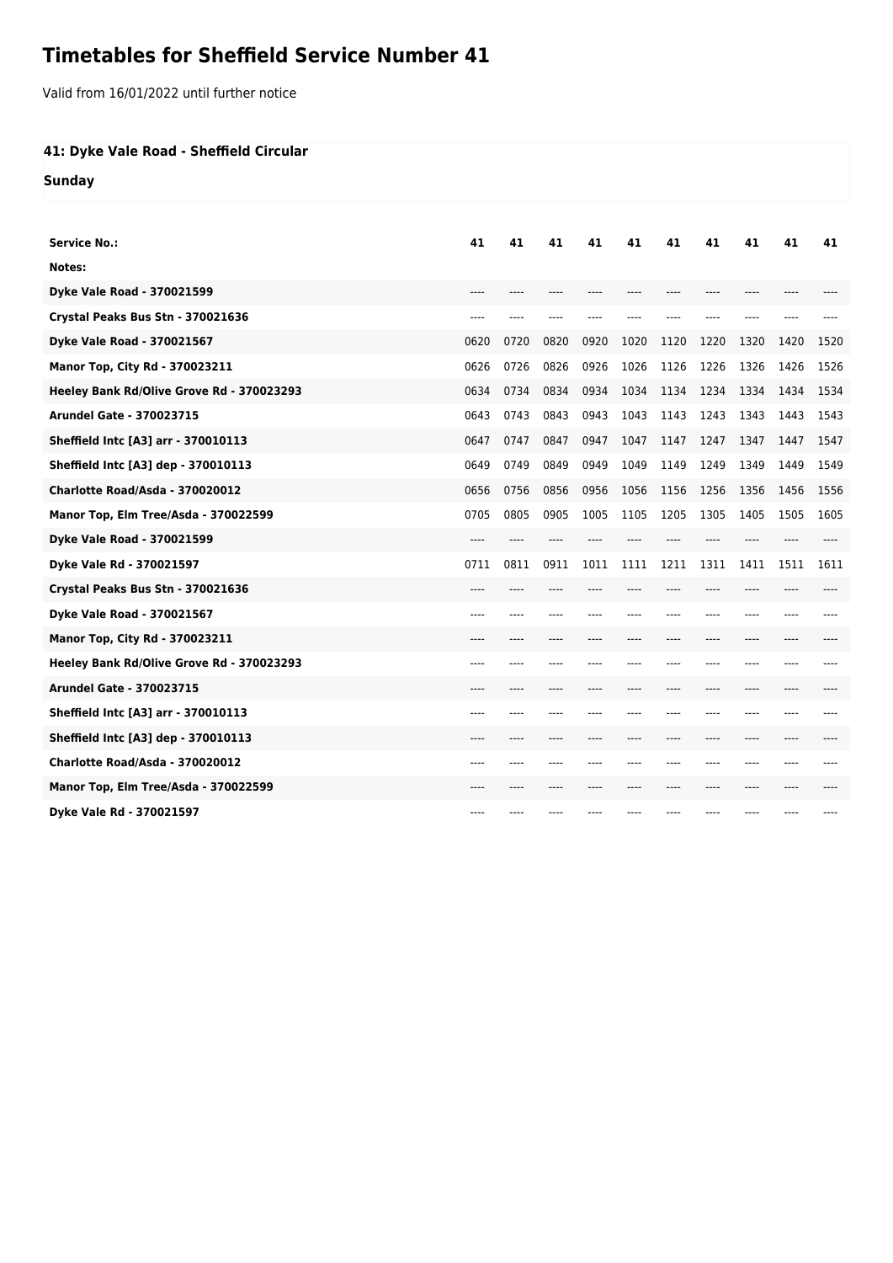## **Timetables for Sheffield Service Number 41**

Valid from 16/01/2022 until further notice

## **41: Dyke Vale Road - Sheffield Circular**

**Sunday**

| <b>Service No.:</b>                       | 41   | 41    | 41    | 41   | 41    | 41   | 41   | 41      | 41   | 41   |
|-------------------------------------------|------|-------|-------|------|-------|------|------|---------|------|------|
| Notes:                                    |      |       |       |      |       |      |      |         |      |      |
| Dyke Vale Road - 370021599                |      |       |       |      |       |      |      |         |      |      |
| Crystal Peaks Bus Stn - 370021636         | ---- |       |       |      |       |      |      |         |      |      |
| Dyke Vale Road - 370021567                | 0620 | 0720  | 0820  | 0920 | 1020  | 1120 | 1220 | 1320    | 1420 | 1520 |
| Manor Top, City Rd - 370023211            | 0626 | 0726  | 0826  | 0926 | 1026  | 1126 | 1226 | 1326    | 1426 | 1526 |
| Heeley Bank Rd/Olive Grove Rd - 370023293 | 0634 | 0734  | 0834  | 0934 | 1034  | 1134 | 1234 | 1334    | 1434 | 1534 |
| <b>Arundel Gate - 370023715</b>           | 0643 | 0743  | 0843  | 0943 | 1043  | 1143 | 1243 | 1343    | 1443 | 1543 |
| Sheffield Intc [A3] arr - 370010113       | 0647 | 0747  | 0847  | 0947 | 1047  | 1147 | 1247 | 1347    | 1447 | 1547 |
| Sheffield Intc [A3] dep - 370010113       | 0649 | 0749  | 0849  | 0949 | 1049  | 1149 | 1249 | 1349    | 1449 | 1549 |
| Charlotte Road/Asda - 370020012           | 0656 | 0756  | 0856  | 0956 | 1056  | 1156 | 1256 | 1356    | 1456 | 1556 |
| Manor Top, Elm Tree/Asda - 370022599      | 0705 | 0805  | 0905  | 1005 | 1105  | 1205 | 1305 | 1405    | 1505 | 1605 |
| Dyke Vale Road - 370021599                | ---- |       |       |      |       |      |      |         |      |      |
| Dyke Vale Rd - 370021597                  | 0711 | 0811  | 0911  | 1011 | 1111  | 1211 | 1311 | 1411    | 1511 | 1611 |
| Crystal Peaks Bus Stn - 370021636         |      |       |       |      |       |      |      |         |      |      |
| Dyke Vale Road - 370021567                | ---- |       | ----  |      |       |      | ---- |         | ---- |      |
| Manor Top, City Rd - 370023211            | ---- | ----  |       |      |       |      | ---- | ----    | ---- |      |
| Heeley Bank Rd/Olive Grove Rd - 370023293 | ---- | ----  | ----  | ---- |       |      | ---- | ----    | ---- |      |
| <b>Arundel Gate - 370023715</b>           | ---- | $---$ | $---$ | ---- | $---$ | ---- | ---- | $--- -$ | ---- |      |
| Sheffield Intc [A3] arr - 370010113       | ---- |       |       |      |       |      |      |         | ---- |      |
| Sheffield Intc [A3] dep - 370010113       | ---- | ----  | ----  |      |       |      | ---- | $---$   | ---- |      |
| Charlotte Road/Asda - 370020012           | ---- | ----  | ----  |      |       |      | ---- | ----    | ---- |      |
| Manor Top, Elm Tree/Asda - 370022599      |      |       |       |      |       |      |      |         |      |      |
| Dyke Vale Rd - 370021597                  | ---- |       | ----  |      |       |      | ---- | ----    | ---- | ---- |